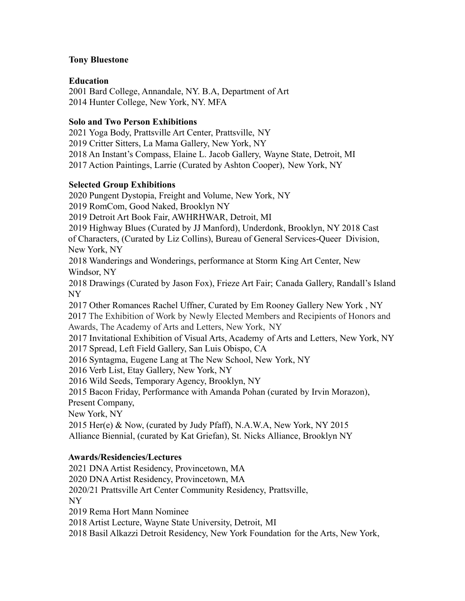### **Tony Bluestone**

## **Education**

2001 Bard College, Annandale, NY. B.A, Department of Art 2014 Hunter College, New York, NY. MFA

## **Solo and Two Person Exhibitions**

2021 Yoga Body, Prattsville Art Center, Prattsville, NY 2019 Critter Sitters, La Mama Gallery, New York, NY 2018 An Instant's Compass, Elaine L. Jacob Gallery, Wayne State, Detroit, MI 2017 Action Paintings, Larrie (Curated by Ashton Cooper), New York, NY

## **Selected Group Exhibitions**

2020 Pungent Dystopia, Freight and Volume, New York, NY 2019 RomCom, Good Naked, Brooklyn NY 2019 Detroit Art Book Fair, AWHRHWAR, Detroit, MI 2019 Highway Blues (Curated by JJ Manford), Underdonk, Brooklyn, NY 2018 Cast of Characters, (Curated by Liz Collins), Bureau of General Services-Queer Division, New York, NY 2018 Wanderings and Wonderings, performance at Storm King Art Center, New Windsor, NY 2018 Drawings (Curated by Jason Fox), Frieze Art Fair; Canada Gallery, Randall's Island NY 2017 Other Romances Rachel Uffner, Curated by Em Rooney Gallery New York , NY 2017 The Exhibition of Work by Newly Elected Members and Recipients of Honors and Awards, The Academy of Arts and Letters, New York, NY 2017 Invitational Exhibition of Visual Arts, Academy of Arts and Letters, New York, NY 2017 Spread, Left Field Gallery, San Luis Obispo, CA 2016 Syntagma, Eugene Lang at The New School, New York, NY 2016 Verb List, Etay Gallery, New York, NY 2016 Wild Seeds, Temporary Agency, Brooklyn, NY

2015 Bacon Friday, Performance with Amanda Pohan (curated by Irvin Morazon), Present Company,

New York, NY

2015 Her(e) & Now, (curated by Judy Pfaff), N.A.W.A, New York, NY 2015 Alliance Biennial, (curated by Kat Griefan), St. Nicks Alliance, Brooklyn NY

# **Awards/Residencies/Lectures**

2021 DNAArtist Residency, Provincetown, MA 2020 DNAArtist Residency, Provincetown, MA 2020/21 Prattsville Art Center Community Residency, Prattsville, NY 2019 Rema Hort Mann Nominee 2018 Artist Lecture, Wayne State University, Detroit, MI

2018 Basil Alkazzi Detroit Residency, New York Foundation for the Arts, New York,